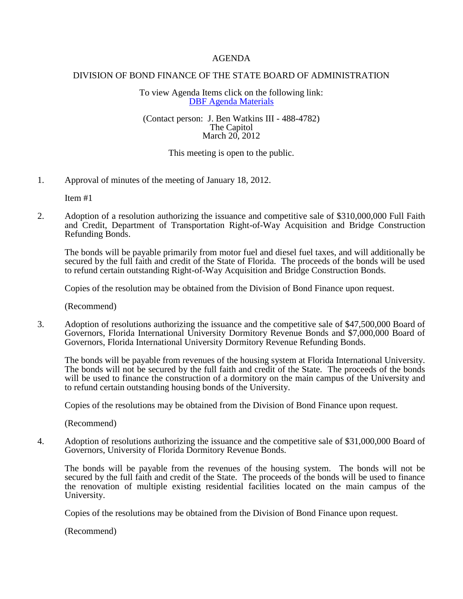## AGENDA

## DIVISION OF BOND FINANCE OF THE STATE BOARD OF ADMINISTRATION

To view Agenda Items click on the following link: [DBF Agenda Materials](https://www.sbafla.com/bondfinance/AboutDBF/DBFBoardMeetings/tabid/1044/Default.aspx)

## (Contact person: J. Ben Watkins III - 488-4782) The Capitol March 20, 2012

## This meeting is open to the public.

1. Approval of minutes of the meeting of January 18, 2012.

Item #1

2. Adoption of a resolution authorizing the issuance and competitive sale of \$310,000,000 Full Faith and Credit, Department of Transportation Right-of-Way Acquisition and Bridge Construction Refunding Bonds.

The bonds will be payable primarily from motor fuel and diesel fuel taxes, and will additionally be secured by the full faith and credit of the State of Florida. The proceeds of the bonds will be used to refund certain outstanding Right-of-Way Acquisition and Bridge Construction Bonds.

Copies of the resolution may be obtained from the Division of Bond Finance upon request.

(Recommend)

3. Adoption of resolutions authorizing the issuance and the competitive sale of \$47,500,000 Board of Governors, Florida International University Dormitory Revenue Bonds and \$7,000,000 Board of Governors, Florida International University Dormitory Revenue Refunding Bonds.

The bonds will be payable from revenues of the housing system at Florida International University. The bonds will not be secured by the full faith and credit of the State. The proceeds of the bonds will be used to finance the construction of a dormitory on the main campus of the University and to refund certain outstanding housing bonds of the University.

Copies of the resolutions may be obtained from the Division of Bond Finance upon request.

(Recommend)

4. Adoption of resolutions authorizing the issuance and the competitive sale of \$31,000,000 Board of Governors, University of Florida Dormitory Revenue Bonds.

The bonds will be payable from the revenues of the housing system. The bonds will not be secured by the full faith and credit of the State. The proceeds of the bonds will be used to finance the renovation of multiple existing residential facilities located on the main campus of the University.

Copies of the resolutions may be obtained from the Division of Bond Finance upon request.

(Recommend)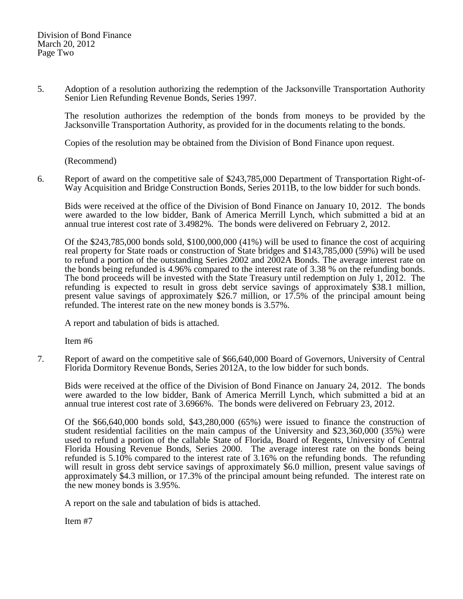5. Adoption of a resolution authorizing the redemption of the Jacksonville Transportation Authority Senior Lien Refunding Revenue Bonds, Series 1997.

The resolution authorizes the redemption of the bonds from moneys to be provided by the Jacksonville Transportation Authority, as provided for in the documents relating to the bonds.

Copies of the resolution may be obtained from the Division of Bond Finance upon request.

(Recommend)

6. Report of award on the competitive sale of \$243,785,000 Department of Transportation Right-of-Way Acquisition and Bridge Construction Bonds, Series 2011B, to the low bidder for such bonds.

Bids were received at the office of the Division of Bond Finance on January 10, 2012. The bonds were awarded to the low bidder, Bank of America Merrill Lynch, which submitted a bid at an annual true interest cost rate of 3.4982%. The bonds were delivered on February 2, 2012.

Of the \$243,785,000 bonds sold, \$100,000,000 (41%) will be used to finance the cost of acquiring real property for State roads or construction of State bridges and \$143,785,000 (59%) will be used to refund a portion of the outstanding Series 2002 and 2002A Bonds. The average interest rate on the bonds being refunded is 4.96% compared to the interest rate of 3.38 % on the refunding bonds. The bond proceeds will be invested with the State Treasury until redemption on July 1, 2012. The refunding is expected to result in gross debt service savings of approximately \$38.1 million, present value savings of approximately \$26.7 million, or 17.5% of the principal amount being refunded. The interest rate on the new money bonds is 3.57%.

A report and tabulation of bids is attached.

Item #6

7. Report of award on the competitive sale of \$66,640,000 Board of Governors, University of Central Florida Dormitory Revenue Bonds, Series 2012A, to the low bidder for such bonds.

Bids were received at the office of the Division of Bond Finance on January 24, 2012. The bonds were awarded to the low bidder, Bank of America Merrill Lynch, which submitted a bid at an annual true interest cost rate of 3.6966%. The bonds were delivered on February 23, 2012.

Of the \$66,640,000 bonds sold, \$43,280,000 (65%) were issued to finance the construction of student residential facilities on the main campus of the University and \$23,360,000 (35%) were used to refund a portion of the callable State of Florida, Board of Regents, University of Central Florida Housing Revenue Bonds, Series 2000. The average interest rate on the bonds being refunded is 5.10% compared to the interest rate of 3.16% on the refunding bonds. The refunding will result in gross debt service savings of approximately \$6.0 million, present value savings of approximately \$4.3 million, or 17.3% of the principal amount being refunded. The interest rate on the new money bonds is 3.95%.

A report on the sale and tabulation of bids is attached.

Item #7